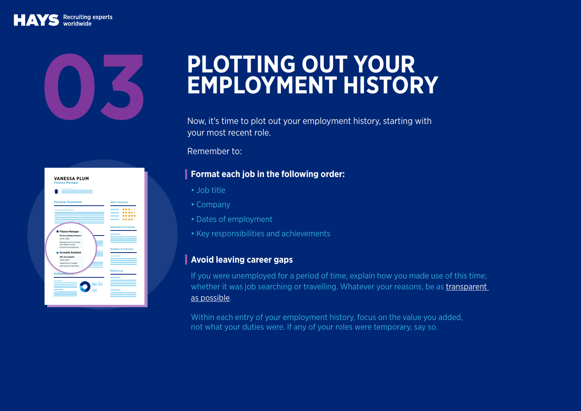## Recruiting experts

| <b>Personal Statement</b>                       | <b>Skills Summary</b>           |
|-------------------------------------------------|---------------------------------|
|                                                 | *****                           |
|                                                 | *****                           |
|                                                 | *****                           |
|                                                 | *****                           |
|                                                 | <b>Education &amp; Training</b> |
| Finance Manager                                 |                                 |
| 123 Accounting & Finance                        |                                 |
| $(2016 - 2018)$                                 |                                 |
| Management of accounts                          |                                 |
| and analysis of key<br>accounts and expenses.   |                                 |
|                                                 | <b>Hobbies &amp; Interests</b>  |
| <b>Accounts Assistant</b>                       |                                 |
| <b>ARC Accountants</b>                          |                                 |
| (2015-2016)                                     |                                 |
| Supporting in budget<br>planning and reporting. |                                 |
|                                                 |                                 |
| Achievem                                        | <b>References</b>               |
|                                                 |                                 |
|                                                 |                                 |
|                                                 |                                 |
|                                                 |                                 |

## **PLOTTING OUT YOUR<br>EMPLOYMENT HISTORY**

Now, it's time to plot out your employment history, starting with your most recent role.

Remember to:

## **Format each job in the following order:**

- Job title
- Company
- Dates of employment
- Key responsibilities and achievements

## **Avoid leaving career gaps**

If you were unemployed for a period of time, explain how you made use of this time; whether it was job searching or travelling. Whatever your reasons, be as transparent [as possible.](https://social.hays.com/2016/11/17/how-transparent-should-you-be-cv/)

Within each entry of your employment history, focus on the value you added, not what your duties were. If any of your roles were temporary, say so.